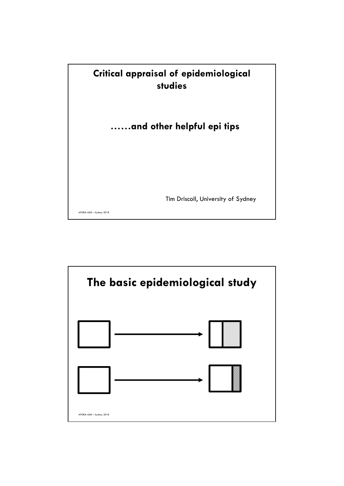

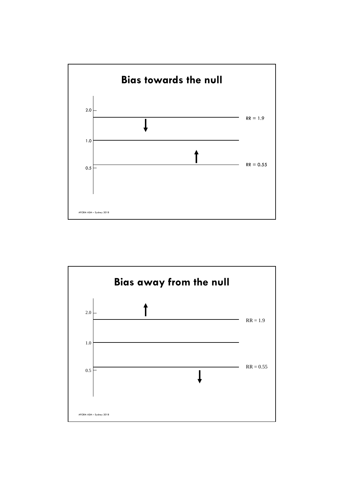

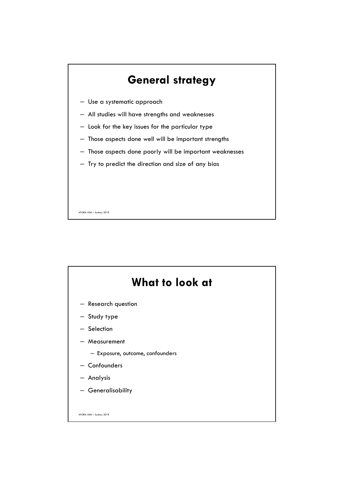

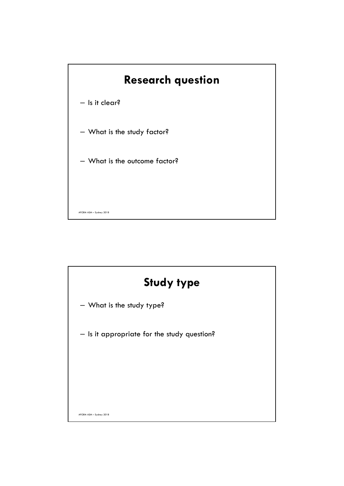

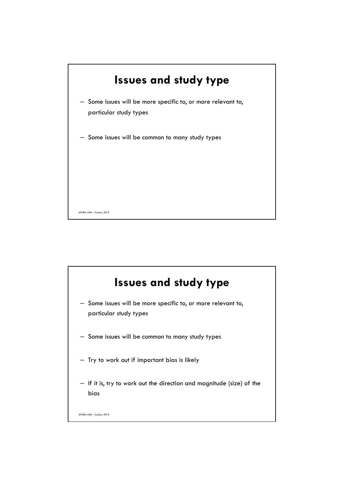

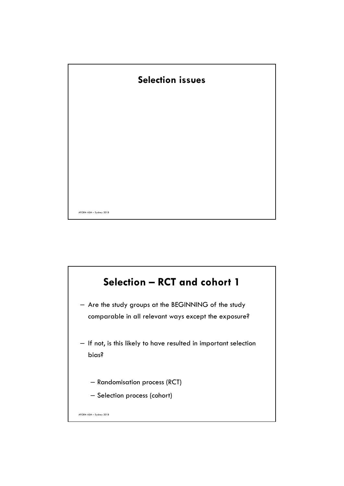

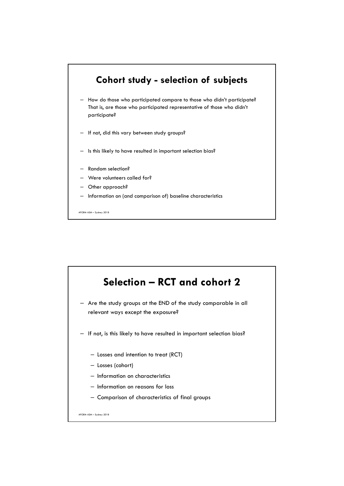

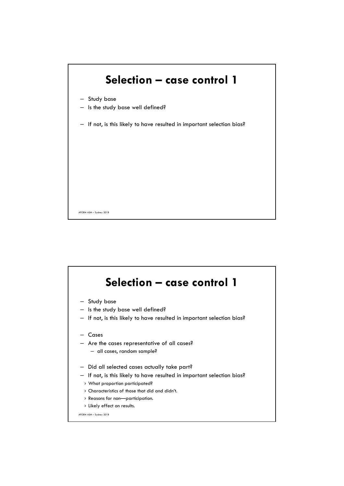

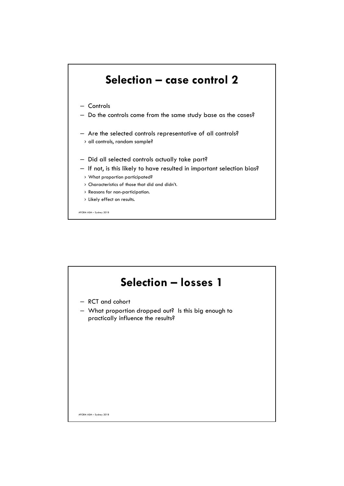

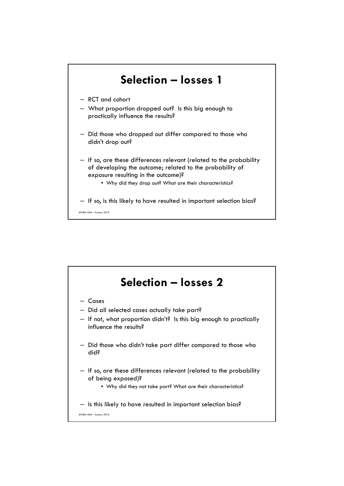

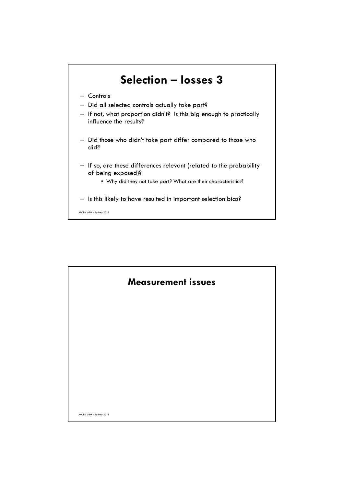

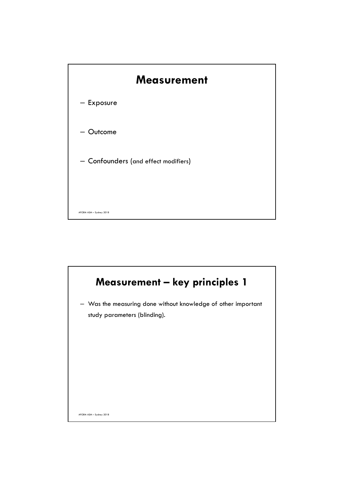

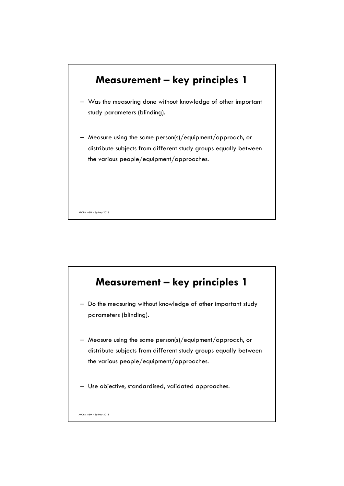

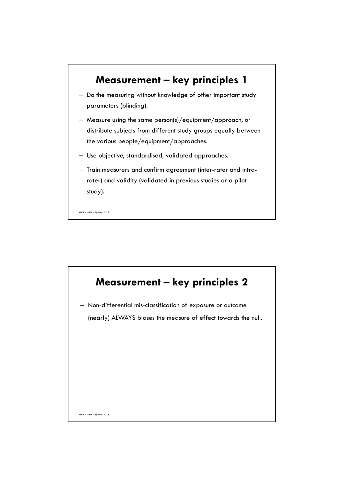

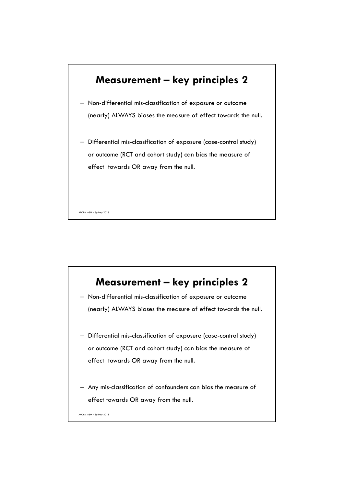

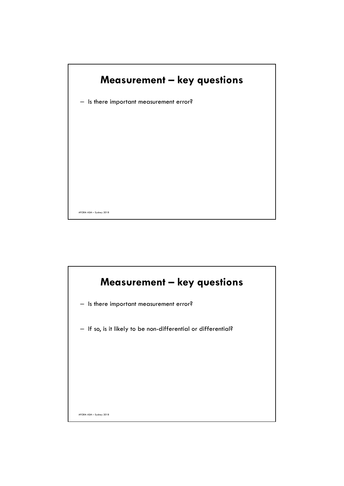

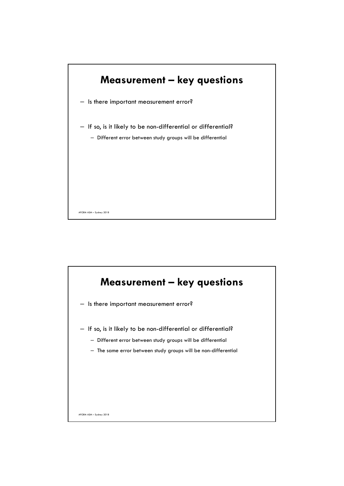

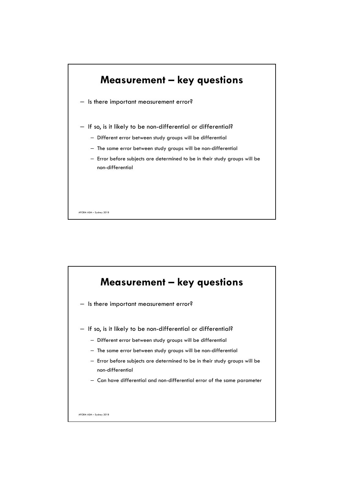

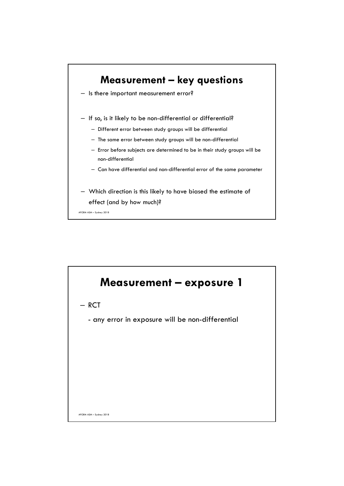

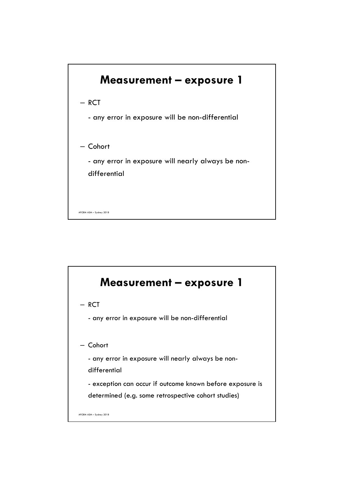

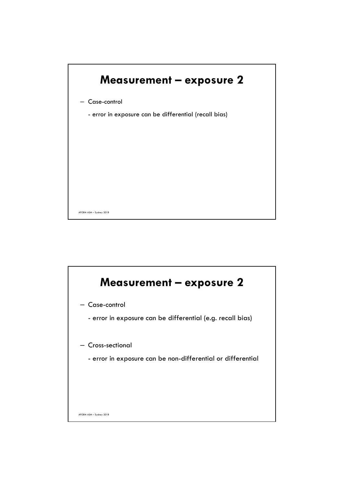

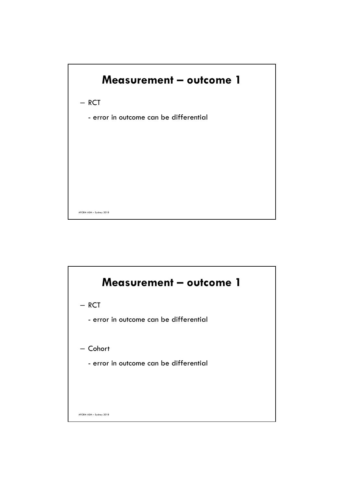

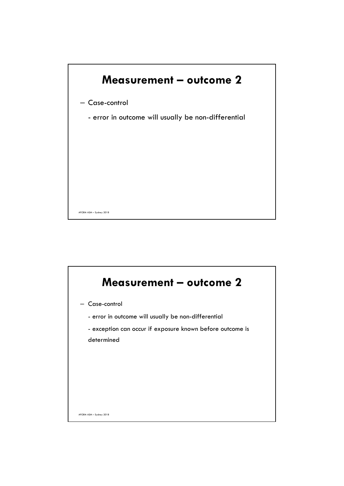

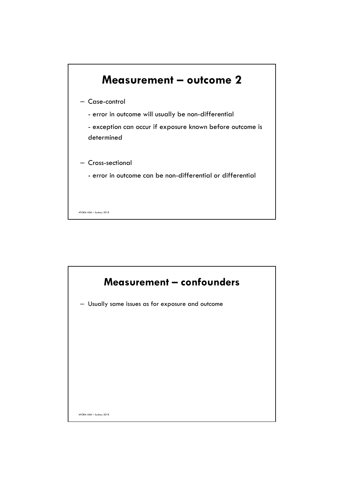

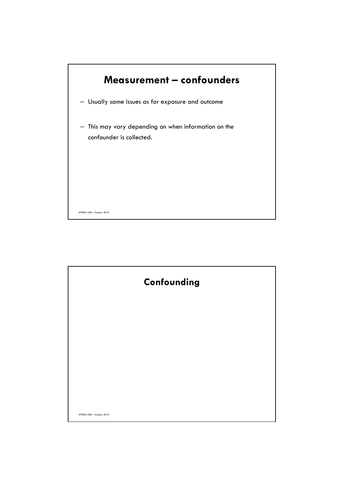

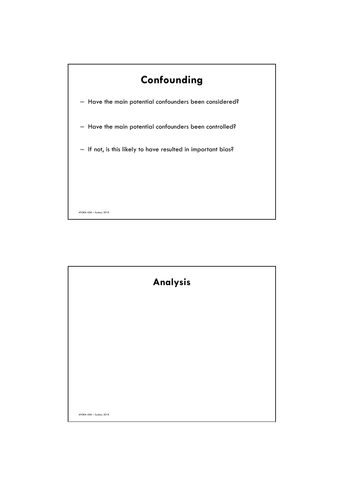

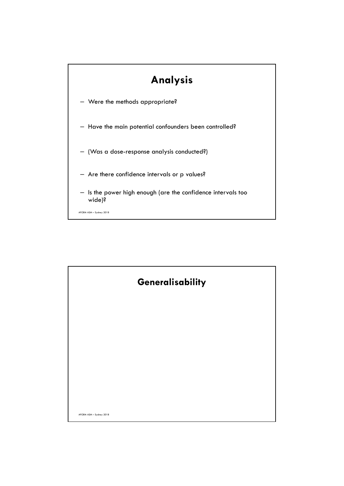

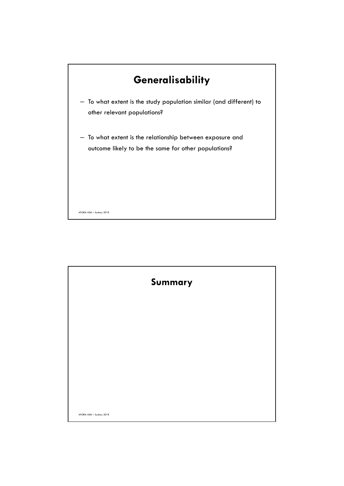